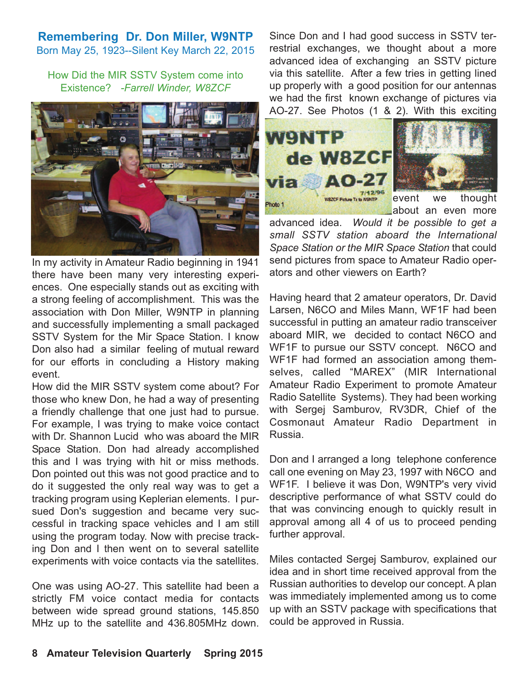## **Remembering Dr. Don Miller, W9NTP**

Born May 25, 1923--Silent Key March 22, 2015

How Did the MIR SSTV System come into Existence? *-Farrell Winder, W8ZCF*



In my activity in Amateur Radio beginning in 1941 there have been many very interesting experiences. One especially stands out as exciting with a strong feeling of accomplishment. This was the association with Don Miller, W9NTP in planning and successfully implementing a small packaged SSTV System for the Mir Space Station. I know Don also had a similar feeling of mutual reward for our efforts in concluding a History making event.

How did the MIR SSTV system come about? For those who knew Don, he had a way of presenting a friendly challenge that one just had to pursue. For example, I was trying to make voice contact with Dr. Shannon Lucid who was aboard the MIR Space Station. Don had already accomplished this and I was trying with hit or miss methods. Don pointed out this was not good practice and to do it suggested the only real way was to get a tracking program using Keplerian elements. I pursued Don's suggestion and became very successful in tracking space vehicles and I am still using the program today. Now with precise tracking Don and I then went on to several satellite experiments with voice contacts via the satellites.

One was using AO-27. This satellite had been a strictly FM voice contact media for contacts between wide spread ground stations, 145.850 MHz up to the satellite and 436.805MHz down.

Since Don and I had good success in SSTV terrestrial exchanges, we thought about a more advanced idea of exchanging an SSTV picture via this satellite. After a few tries in getting lined up properly with a good position for our antennas we had the first known exchange of pictures via AO-27. See Photos (1 & 2). With this exciting





event we thought about an even more

advanced idea. *Would it be possible to get a small SSTV station aboard the International Space Station or the MIR Space Station* that could send pictures from space to Amateur Radio operators and other viewers on Earth?

Having heard that 2 amateur operators, Dr. David Larsen, N6CO and Miles Mann, WF1F had been successful in putting an amateur radio transceiver aboard MIR, we decided to contact N6CO and WF1F to pursue our SSTV concept. N6CO and WF1F had formed an association among themselves, called "MAREX" (MIR International Amateur Radio Experiment to promote Amateur Radio Satellite Systems). They had been working with Sergej Samburov, RV3DR, Chief of the Cosmonaut Amateur Radio Department in Russia.

Don and I arranged a long telephone conference call one evening on May 23, 1997 with N6CO and WF1F. I believe it was Don, W9NTP's very vivid descriptive performance of what SSTV could do that was convincing enough to quickly result in approval among all 4 of us to proceed pending further approval.

Miles contacted Sergej Samburov, explained our idea and in short time received approval from the Russian authorities to develop our concept. A plan was immediately implemented among us to come up with an SSTV package with specifications that could be approved in Russia.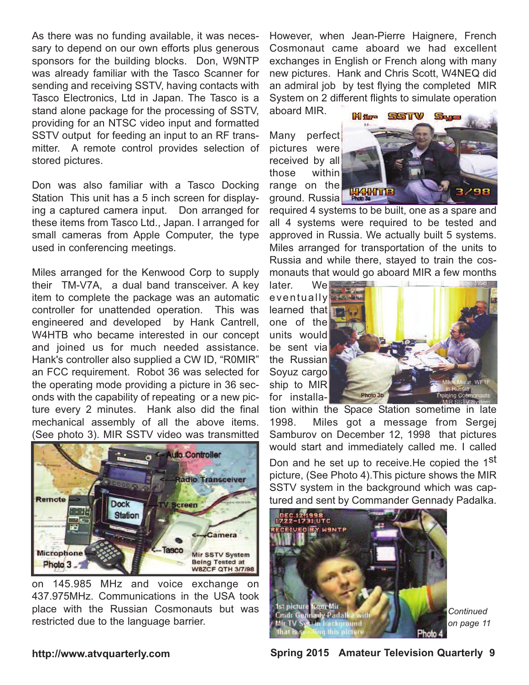As there was no funding available, it was necessary to depend on our own efforts plus generous sponsors for the building blocks. Don, W9NTP was already familiar with the Tasco Scanner for sending and receiving SSTV, having contacts with Tasco Electronics, Ltd in Japan. The Tasco is a stand alone package for the processing of SSTV, providing for an NTSC video input and formatted SSTV output for feeding an input to an RF transmitter. A remote control provides selection of stored pictures.

Don was also familiar with a Tasco Docking Station This unit has a 5 inch screen for displaying a captured camera input. Don arranged for these items from Tasco Ltd., Japan. I arranged for small cameras from Apple Computer, the type used in conferencing meetings.

Miles arranged for the Kenwood Corp to supply their TM-V7A, a dual band transceiver. A key item to complete the package was an automatic controller for unattended operation. This was engineered and developed by Hank Cantrell, W4HTB who became interested in our concept and joined us for much needed assistance. Hank's controller also supplied a CW ID, "R0MIR" an FCC requirement. Robot 36 was selected for the operating mode providing a picture in 36 seconds with the capability of repeating or a new picture every 2 minutes. Hank also did the final mechanical assembly of all the above items. (See photo 3). MIR SSTV video was transmitted



on 145.985 MHz and voice exchange on 437.975MHz. Communications in the USA took place with the Russian Cosmonauts but was restricted due to the language barrier.

However, when Jean-Pierre Haignere, French Cosmonaut came aboard we had excellent exchanges in English or French along with many new pictures. Hank and Chris Scott, W4NEQ did an admiral job by test flying the completed MIR System on 2 different flights to simulate operation aboard MIR.

Many perfect pictures were received by all those within range on the ground. Russia



required 4 systems to be built, one as a spare and all 4 systems were required to be tested and approved in Russia. We actually built 5 systems. Miles arranged for transportation of the units to Russia and while there, stayed to train the cosmonauts that would go aboard MIR a few months

later. We eventually learned that one of the units would be sent via the Russian Soyuz cargo ship to MIR for installa-



tion within the Space Station sometime in late 1998. Miles got a message from Sergej Samburov on December 12, 1998 that pictures would start and immediately called me. I called Don and he set up to receive. He copied the 1<sup>st</sup> picture, (See Photo 4).This picture shows the MIR SSTV system in the background which was captured and sent by Commander Gennady Padalka.



*Continued on page 11*

## **http://www.atvquarterly.com Spring 2015 Amateur Television Quarterly 9**